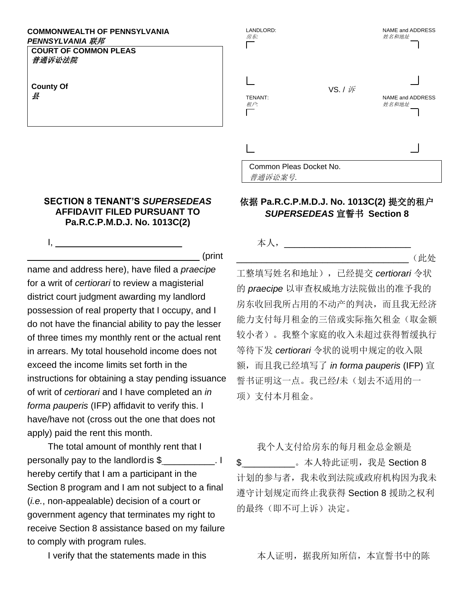## **COMMONWEALTH OF PENNSYLVANIA** *PENNSYLVANIA* 联邦

**COURT OF COMMON PLEAS** 普通诉讼法院

**County Of** 县

## **SECTION 8 TENANT'S** *SUPERSEDEAS*  **AFFIDAVIT FILED PURSUANT TO Pa.R.C.P.M.D.J. No. 1013C(2)**

I, \_\_\_\_\_\_\_\_\_\_\_\_\_\_\_\_\_\_\_\_\_\_\_\_\_

\_\_\_\_\_\_\_\_\_\_\_\_\_\_\_\_\_\_\_\_\_\_\_\_\_\_\_\_\_\_\_\_\_\_ (print

name and address here), have filed a *praecipe*  for a writ of *certiorari* to review a magisterial district court judgment awarding my landlord possession of real property that I occupy, and I do not have the financial ability to pay the lesser of three times my monthly rent or the actual rent in arrears. My total household income does not exceed the income limits set forth in the instructions for obtaining a stay pending issuance of writ of *certiorari* and I have completed an *in forma pauperis* (IFP) affidavit to verify this. I have/have not (cross out the one that does not apply) paid the rent this month.

The total amount of monthly rent that I personally pay to the landlordis \$ \_\_\_\_\_\_\_\_\_\_. I hereby certify that I am a participant in the Section 8 program and I am not subject to a final (*i.e.*, non-appealable) decision of a court or government agency that terminates my right to receive Section 8 assistance based on my failure to comply with program rules.

| LANDLORD:<br>房东:                   |                | NAME and ADDRESS<br>姓名和地址 |
|------------------------------------|----------------|---------------------------|
| <b>TENANT:</b><br>租户:              | VS. / <i>诉</i> | NAME and ADDRESS<br>姓名和地址 |
|                                    |                |                           |
| Common Pleas Docket No.<br>普通诉讼案号. |                |                           |

## 依据 **Pa.R.C.P.M.D.J. No. 1013C(2)** 提交的租户 *SUPERSEDEAS* 宣誓书 **Section 8**

本人,\_\_\_\_\_\_\_\_\_\_\_\_\_\_\_\_\_\_\_\_\_\_\_\_\_

 $\mathcal{L}$  (此处

工整填写姓名和地址),已经提交 *certiorari* 令状 的 *praecipe* 以审查权威地方法院做出的准予我的 房东收回我所占用的不动产的判决,而且我无经济 能力支付每月租金的三倍或实际拖欠租金(取金额 较小者)。我整个家庭的收入未超过获得暂缓执行 等待下发 *certiorari* 令状的说明中规定的收入限 额,而且我已经填写了 *in forma pauperis* (IFP) 宣 誓书证明这一点。我已经/未(划去不适用的一 项)支付本月租金。

我个人支付给房东的每月租金总金额是 \$ 。本人特此证明,我是 Section 8 计划的参与者,我未收到法院或政府机构因为我未 遵守计划规定而终止我获得 Section 8 援助之权利 的最终(即不可上诉)决定。

I verify that the statements made in this **that allocated as a state of the statements** made in this